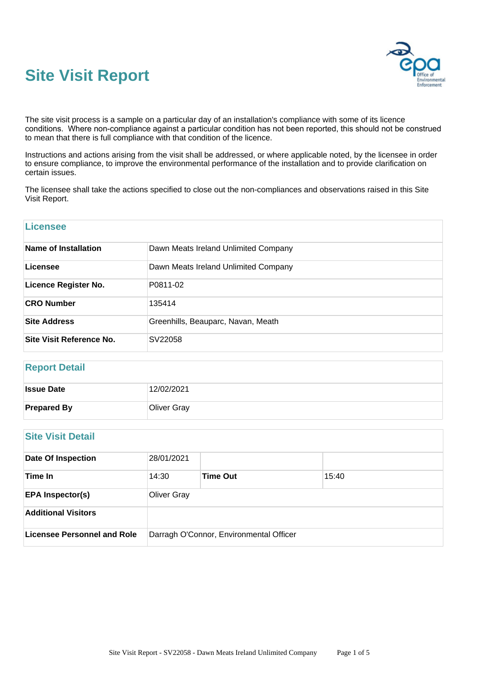# **Site Visit Report**



The site visit process is a sample on a particular day of an installation's compliance with some of its licence conditions. Where non-compliance against a particular condition has not been reported, this should not be construed to mean that there is full compliance with that condition of the licence.

Instructions and actions arising from the visit shall be addressed, or where applicable noted, by the licensee in order to ensure compliance, to improve the environmental performance of the installation and to provide clarification on certain issues.

The licensee shall take the actions specified to close out the non-compliances and observations raised in this Site Visit Report.

| <b>Licensee</b>             |                                      |
|-----------------------------|--------------------------------------|
| Name of Installation        | Dawn Meats Ireland Unlimited Company |
| Licensee                    | Dawn Meats Ireland Unlimited Company |
| <b>Licence Register No.</b> | P0811-02                             |
| <b>CRO Number</b>           | 135414                               |
| <b>Site Address</b>         | Greenhills, Beauparc, Navan, Meath   |
| Site Visit Reference No.    | SV22058                              |

# **Report Detail**

| <b>Issue Date</b>  | 12/02/2021  |
|--------------------|-------------|
| <b>Prepared By</b> | Oliver Gray |

# **Site Visit Detail**

| <b>Date Of Inspection</b>   | 28/01/2021         |                                         |       |  |
|-----------------------------|--------------------|-----------------------------------------|-------|--|
| Time In                     | 14:30              | <b>Time Out</b>                         | 15:40 |  |
| <b>EPA Inspector(s)</b>     | <b>Oliver Gray</b> |                                         |       |  |
| <b>Additional Visitors</b>  |                    |                                         |       |  |
| Licensee Personnel and Role |                    | Darragh O'Connor, Environmental Officer |       |  |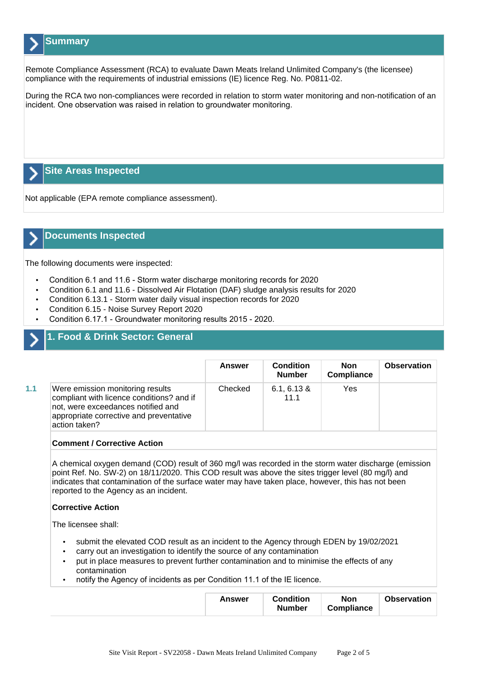# **Summary**

Remote Compliance Assessment (RCA) to evaluate Dawn Meats Ireland Unlimited Company's (the licensee) compliance with the requirements of industrial emissions (IE) licence Reg. No. P0811-02.

During the RCA two non-compliances were recorded in relation to storm water monitoring and non-notification of an incident. One observation was raised in relation to groundwater monitoring.

# **Site Areas Inspected**

Not applicable (EPA remote compliance assessment).

## **Documents Inspected**

The following documents were inspected:

- Condition 6.1 and 11.6 Storm water discharge monitoring records for 2020
- Condition 6.1 and 11.6 Dissolved Air Flotation (DAF) sludge analysis results for 2020
- Condition 6.13.1 Storm water daily visual inspection records for 2020
- Condition 6.15 Noise Survey Report 2020
- Condition 6.17.1 Groundwater monitoring results 2015 2020.

# **1. Food & Drink Sector: General**

|     |                                                                                                                                                                                 | <b>Answer</b> | <b>Condition</b><br><b>Number</b> | <b>Non</b><br><b>Compliance</b> | <b>Observation</b> |
|-----|---------------------------------------------------------------------------------------------------------------------------------------------------------------------------------|---------------|-----------------------------------|---------------------------------|--------------------|
| 1.1 | Were emission monitoring results<br>compliant with licence conditions? and if<br>not, were exceedances notified and<br>appropriate corrective and preventative<br>action taken? | Checked       | $6.1, 6.13$ &<br>11.1             | Yes                             |                    |

#### **Comment / Corrective Action**

A chemical oxygen demand (COD) result of 360 mg/l was recorded in the storm water discharge (emission point Ref. No. SW-2) on 18/11/2020. This COD result was above the sites trigger level (80 mg/l) and indicates that contamination of the surface water may have taken place, however, this has not been reported to the Agency as an incident.

#### **Corrective Action**

The licensee shall:

- submit the elevated COD result as an incident to the Agency through EDEN by 19/02/2021
- carry out an investigation to identify the source of any contamination
- put in place measures to prevent further contamination and to minimise the effects of any contamination
- notify the Agency of incidents as per Condition 11.1 of the IE licence.

| Answer |
|--------|
|--------|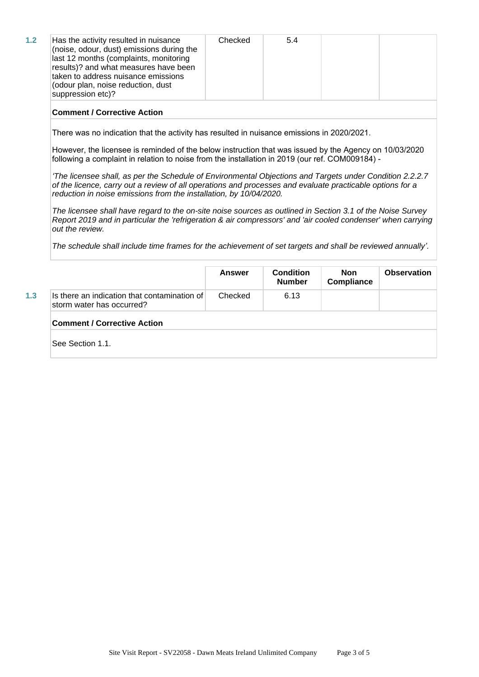| Has the activity resulted in nuisance<br>(noise, odour, dust) emissions during the<br>last 12 months (complaints, monitoring<br>results)? and what measures have been<br>taken to address nuisance emissions<br>(odour plan, noise reduction, dust<br>suppression etc)? | Checked | 5.4 |  |  |
|-------------------------------------------------------------------------------------------------------------------------------------------------------------------------------------------------------------------------------------------------------------------------|---------|-----|--|--|
|-------------------------------------------------------------------------------------------------------------------------------------------------------------------------------------------------------------------------------------------------------------------------|---------|-----|--|--|

#### **Comment / Corrective Action**

There was no indication that the activity has resulted in nuisance emissions in 2020/2021.

However, the licensee is reminded of the below instruction that was issued by the Agency on 10/03/2020 following a complaint in relation to noise from the installation in 2019 (our ref. COM009184) -

*'*The licensee shall, as per the Schedule of Environmental Objections and Targets under Condition 2.2.2.7 of the licence, carry out a review of all operations and processes and evaluate practicable options for a reduction in noise emissions from the installation, by 10/04/2020.

The licensee shall have regard to the on-site noise sources as outlined in Section 3.1 of the Noise Survey Report 2019 and in particular the 'refrigeration & air compressors' and 'air cooled condenser' when carrying out the review.

The schedule shall include time frames for the achievement of set targets and shall be reviewed annually*'.*

|     |                                                                           | Answer  | <b>Condition</b><br><b>Number</b> | Non<br>Compliance | <b>Observation</b> |  |  |
|-----|---------------------------------------------------------------------------|---------|-----------------------------------|-------------------|--------------------|--|--|
| 1.3 | Is there an indication that contamination of<br>storm water has occurred? | Checked | 6.13                              |                   |                    |  |  |
|     | <b>Comment / Corrective Action</b>                                        |         |                                   |                   |                    |  |  |
|     | See Section 1.1.                                                          |         |                                   |                   |                    |  |  |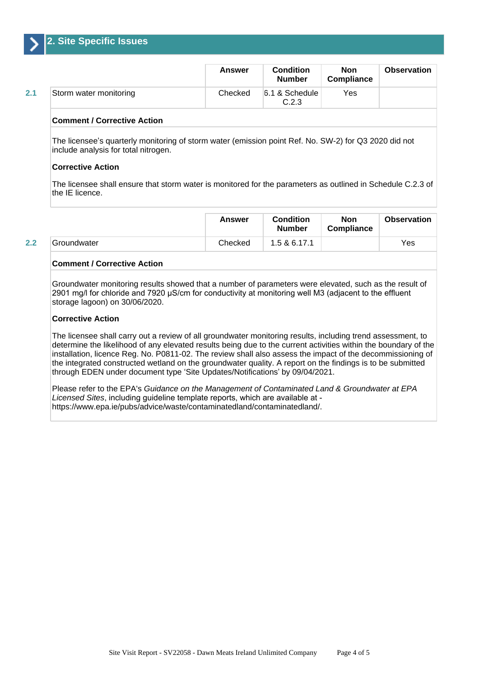

|     |                        | <b>Answer</b> | <b>Condition</b><br><b>Number</b> | <b>Non</b><br><b>Compliance</b> | <b>Observation</b> |
|-----|------------------------|---------------|-----------------------------------|---------------------------------|--------------------|
| 2.1 | Storm water monitoring | Checked       | 6.1 & Schedule<br>C.2.3           | Yes                             |                    |

#### **Comment / Corrective Action**

The licensee's quarterly monitoring of storm water (emission point Ref. No. SW-2) for Q3 2020 did not include analysis for total nitrogen.

#### **Corrective Action**

The licensee shall ensure that storm water is monitored for the parameters as outlined in Schedule C.2.3 of the IE licence.

|     |             | Answer  | <b>Condition</b><br><b>Number</b> | Non<br>Compliance | Observation |
|-----|-------------|---------|-----------------------------------|-------------------|-------------|
| 2.2 | Groundwater | Checked | 1.5 & 6.17.1                      |                   | Yes         |

#### **Comment / Corrective Action**

Groundwater monitoring results showed that a number of parameters were elevated, such as the result of 2901 mg/l for chloride and 7920 µS/cm for conductivity at monitoring well M3 (adjacent to the effluent storage lagoon) on 30/06/2020.

#### **Corrective Action**

The licensee shall carry out a review of all groundwater monitoring results, including trend assessment, to determine the likelihood of any elevated results being due to the current activities within the boundary of the installation, licence Reg. No. P0811-02. The review shall also assess the impact of the decommissioning of the integrated constructed wetland on the groundwater quality. A report on the findings is to be submitted through EDEN under document type 'Site Updates/Notifications' by 09/04/2021.

Please refer to the EPA's Guidance on the Management of Contaminated Land & Groundwater at EPA Licensed Sites, including guideline template reports, which are available at https://www.epa.ie/pubs/advice/waste/contaminatedland/contaminatedland/.